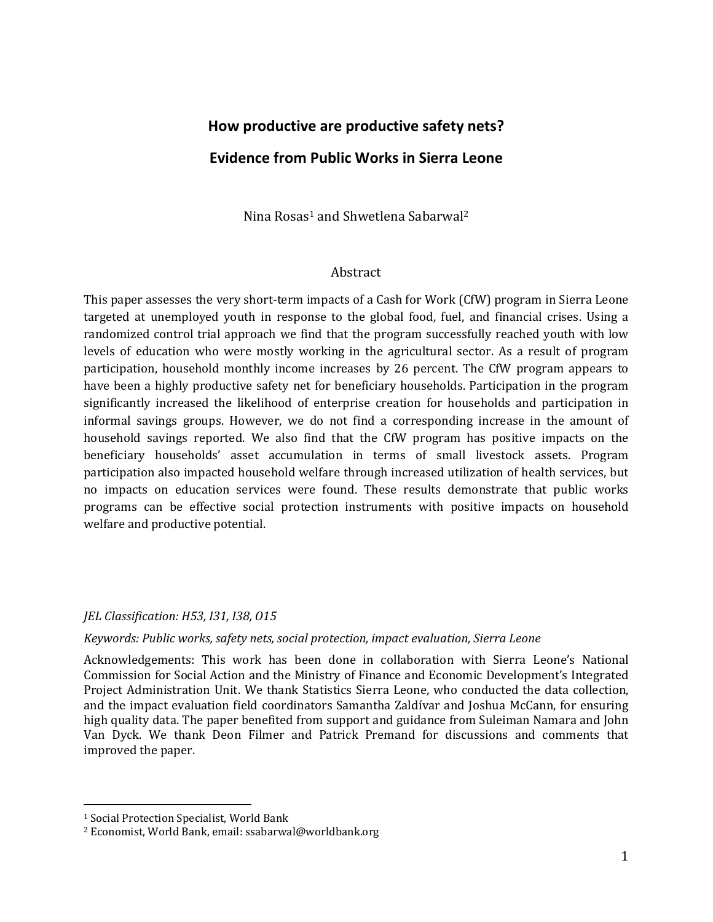# **How productive are productive safety nets? Evidence from Public Works in Sierra Leone**

Nina Rosas<sup>1</sup> and Shwetlena Sabarwal<sup>2</sup>

#### Abstract

This paper assesses the very short-term impacts of a Cash for Work (CfW) program in Sierra Leone targeted at unemployed youth in response to the global food, fuel, and financial crises. Using a randomized control trial approach we find that the program successfully reached youth with low levels of education who were mostly working in the agricultural sector. As a result of program participation, household monthly income increases by 26 percent. The CfW program appears to have been a highly productive safety net for beneficiary households. Participation in the program significantly increased the likelihood of enterprise creation for households and participation in informal savings groups. However, we do not find a corresponding increase in the amount of household savings reported. We also find that the CfW program has positive impacts on the beneficiary households' asset accumulation in terms of small livestock assets. Program participation also impacted household welfare through increased utilization of health services, but no impacts on education services were found. These results demonstrate that public works programs can be effective social protection instruments with positive impacts on household welfare and productive potential.

#### *JEL Classification: H53, I31, I38, O15*

#### *Keywords: Public works, safety nets, social protection, impact evaluation, Sierra Leone*

Acknowledgements: This work has been done in collaboration with Sierra Leone's National Commission for Social Action and the Ministry of Finance and Economic Development's Integrated Project Administration Unit. We thank Statistics Sierra Leone, who conducted the data collection, and the impact evaluation field coordinators Samantha Zaldívar and Joshua McCann, for ensuring high quality data. The paper benefited from support and guidance from Suleiman Namara and John Van Dyck. We thank Deon Filmer and Patrick Premand for discussions and comments that improved the paper.

<u>.</u>

<sup>&</sup>lt;sup>1</sup> Social Protection Specialist, World Bank

<sup>2</sup> Economist, World Bank, email: ssabarwal@worldbank.org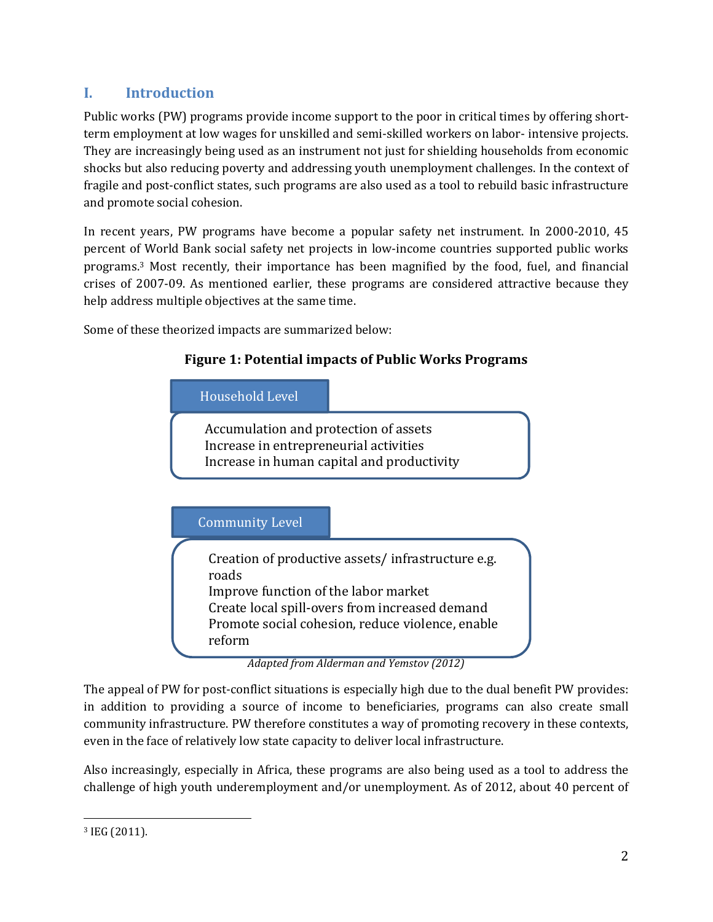# **I. Introduction**

Public works (PW) programs provide income support to the poor in critical times by offering shortterm employment at low wages for unskilled and semi-skilled workers on labor- intensive projects. They are increasingly being used as an instrument not just for shielding households from economic shocks but also reducing poverty and addressing youth unemployment challenges. In the context of fragile and post-conflict states, such programs are also used as a tool to rebuild basic infrastructure and promote social cohesion.

In recent years, PW programs have become a popular safety net instrument. In 2000-2010, 45 percent of World Bank social safety net projects in low-income countries supported public works programs.3 Most recently, their importance has been magnified by the food, fuel, and financial crises of 2007-09. As mentioned earlier, these programs are considered attractive because they help address multiple objectives at the same time.

Some of these theorized impacts are summarized below:



The appeal of PW for post-conflict situations is especially high due to the dual benefit PW provides: in addition to providing a source of income to beneficiaries, programs can also create small community infrastructure. PW therefore constitutes a way of promoting recovery in these contexts, even in the face of relatively low state capacity to deliver local infrastructure.

Also increasingly, especially in Africa, these programs are also being used as a tool to address the challenge of high youth underemployment and/or unemployment. As of 2012, about 40 percent of

<sup>&</sup>lt;u>.</u> <sup>3</sup> IEG (2011).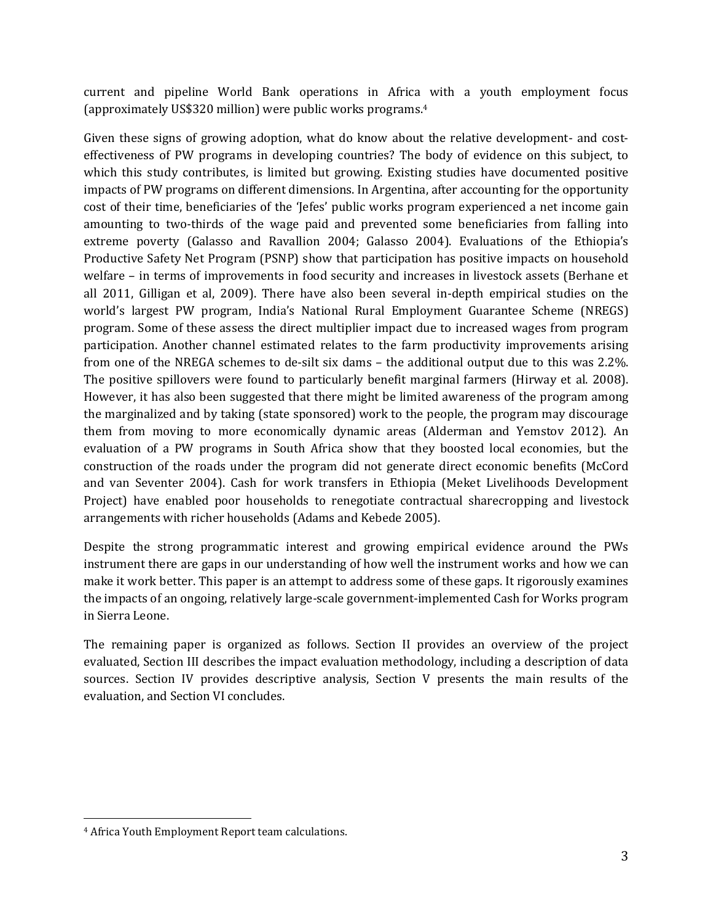current and pipeline World Bank operations in Africa with a youth employment focus (approximately US\$320 million) were public works programs.<sup>4</sup>

Given these signs of growing adoption, what do know about the relative development- and costeffectiveness of PW programs in developing countries? The body of evidence on this subject, to which this study contributes, is limited but growing. Existing studies have documented positive impacts of PW programs on different dimensions. In Argentina, after accounting for the opportunity cost of their time, beneficiaries of the 'Jefes' public works program experienced a net income gain amounting to two-thirds of the wage paid and prevented some beneficiaries from falling into extreme poverty (Galasso and Ravallion 2004; Galasso 2004). Evaluations of the Ethiopia's Productive Safety Net Program (PSNP) show that participation has positive impacts on household welfare – in terms of improvements in food security and increases in livestock assets (Berhane et all 2011, Gilligan et al, 2009). There have also been several in-depth empirical studies on the world's largest PW program, India's National Rural Employment Guarantee Scheme (NREGS) program. Some of these assess the direct multiplier impact due to increased wages from program participation. Another channel estimated relates to the farm productivity improvements arising from one of the NREGA schemes to de-silt six dams – the additional output due to this was 2.2%. The positive spillovers were found to particularly benefit marginal farmers (Hirway et al. 2008). However, it has also been suggested that there might be limited awareness of the program among the marginalized and by taking (state sponsored) work to the people, the program may discourage them from moving to more economically dynamic areas (Alderman and Yemstov 2012). An evaluation of a PW programs in South Africa show that they boosted local economies, but the construction of the roads under the program did not generate direct economic benefits (McCord and van Seventer 2004). Cash for work transfers in Ethiopia (Meket Livelihoods Development Project) have enabled poor households to renegotiate contractual sharecropping and livestock arrangements with richer households (Adams and Kebede 2005).

Despite the strong programmatic interest and growing empirical evidence around the PWs instrument there are gaps in our understanding of how well the instrument works and how we can make it work better. This paper is an attempt to address some of these gaps. It rigorously examines the impacts of an ongoing, relatively large-scale government-implemented Cash for Works program in Sierra Leone.

The remaining paper is organized as follows. Section II provides an overview of the project evaluated, Section III describes the impact evaluation methodology, including a description of data sources. Section IV provides descriptive analysis, Section V presents the main results of the evaluation, and Section VI concludes.

<u>.</u>

<sup>4</sup> Africa Youth Employment Report team calculations.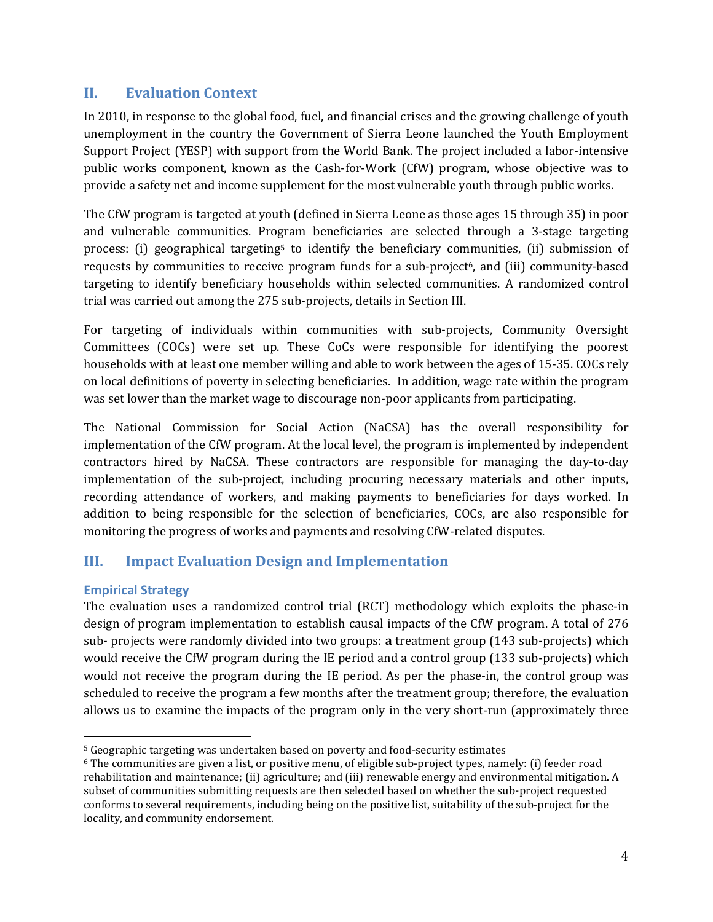## **II. Evaluation Context**

In 2010, in response to the global food, fuel, and financial crises and the growing challenge of youth unemployment in the country the Government of Sierra Leone launched the Youth Employment Support Project (YESP) with support from the World Bank. The project included a labor-intensive public works component, known as the Cash-for-Work (CfW) program, whose objective was to provide a safety net and income supplement for the most vulnerable youth through public works.

The CfW program is targeted at youth (defined in Sierra Leone as those ages 15 through 35) in poor and vulnerable communities. Program beneficiaries are selected through a 3-stage targeting process: (i) geographical targeting<sup>5</sup> to identify the beneficiary communities, (ii) submission of requests by communities to receive program funds for a sub-project<sup> $6$ </sup>, and (iii) community-based targeting to identify beneficiary households within selected communities. A randomized control trial was carried out among the 275 sub-projects, details in Section III.

For targeting of individuals within communities with sub-projects, Community Oversight Committees (COCs) were set up. These CoCs were responsible for identifying the poorest households with at least one member willing and able to work between the ages of 15-35. COCs rely on local definitions of poverty in selecting beneficiaries. In addition, wage rate within the program was set lower than the market wage to discourage non-poor applicants from participating.

The National Commission for Social Action (NaCSA) has the overall responsibility for implementation of the CfW program. At the local level, the program is implemented by independent contractors hired by NaCSA. These contractors are responsible for managing the day-to-day implementation of the sub-project, including procuring necessary materials and other inputs, recording attendance of workers, and making payments to beneficiaries for days worked. In addition to being responsible for the selection of beneficiaries, COCs, are also responsible for monitoring the progress of works and payments and resolving CfW-related disputes.

# **III. Impact Evaluation Design and Implementation**

### **Empirical Strategy**

The evaluation uses a randomized control trial (RCT) methodology which exploits the phase-in design of program implementation to establish causal impacts of the CfW program. A total of 276 sub- projects were randomly divided into two groups: **a** treatment group (143 sub-projects) which would receive the CfW program during the IE period and a control group (133 sub-projects) which would not receive the program during the IE period. As per the phase-in, the control group was scheduled to receive the program a few months after the treatment group; therefore, the evaluation allows us to examine the impacts of the program only in the very short-run (approximately three

<sup>&</sup>lt;u>.</u> <sup>5</sup> Geographic targeting was undertaken based on poverty and food-security estimates

<sup>6</sup> The communities are given a list, or positive menu, of eligible sub-project types, namely: (i) feeder road rehabilitation and maintenance; (ii) agriculture; and (iii) renewable energy and environmental mitigation. A subset of communities submitting requests are then selected based on whether the sub-project requested conforms to several requirements, including being on the positive list, suitability of the sub-project for the locality, and community endorsement.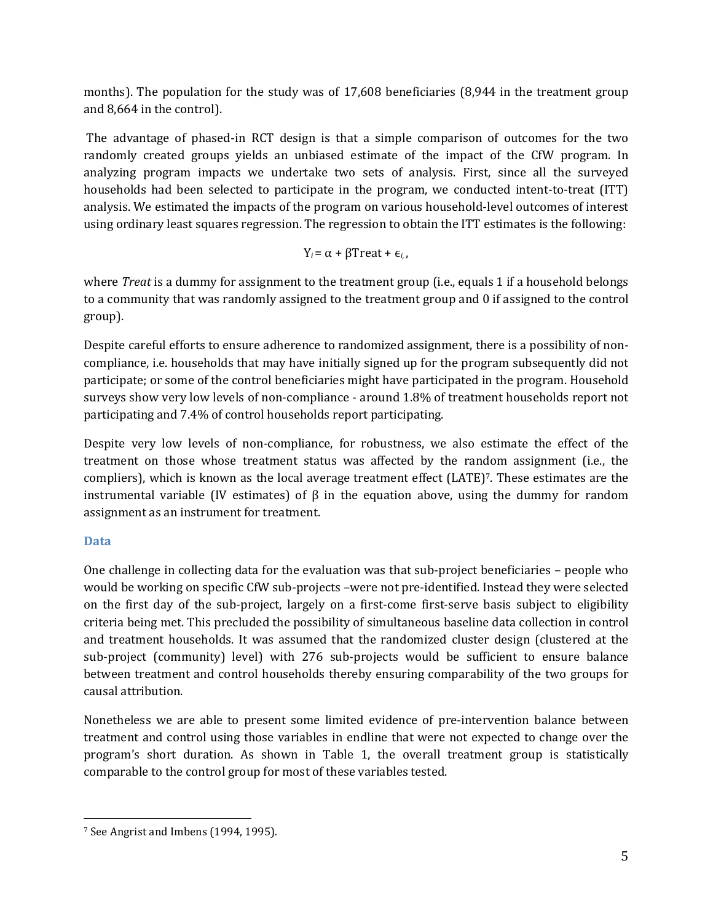months). The population for the study was of 17,608 beneficiaries (8,944 in the treatment group and 8,664 in the control).

 The advantage of phased-in RCT design is that a simple comparison of outcomes for the two randomly created groups yields an unbiased estimate of the impact of the CfW program. In analyzing program impacts we undertake two sets of analysis. First, since all the surveyed households had been selected to participate in the program, we conducted intent-to-treat (ITT) analysis. We estimated the impacts of the program on various household-level outcomes of interest using ordinary least squares regression. The regression to obtain the ITT estimates is the following:

$$
Y_i = \alpha + \beta \text{Treat} + \epsilon_{i,},
$$

where *Treat* is a dummy for assignment to the treatment group (i.e., equals 1 if a household belongs to a community that was randomly assigned to the treatment group and 0 if assigned to the control group).

Despite careful efforts to ensure adherence to randomized assignment, there is a possibility of noncompliance, i.e. households that may have initially signed up for the program subsequently did not participate; or some of the control beneficiaries might have participated in the program. Household surveys show very low levels of non-compliance - around 1.8% of treatment households report not participating and 7.4% of control households report participating.

Despite very low levels of non-compliance, for robustness, we also estimate the effect of the treatment on those whose treatment status was affected by the random assignment (i.e., the compliers), which is known as the local average treatment effect (LATE)7. These estimates are the instrumental variable (IV estimates) of  $\beta$  in the equation above, using the dummy for random assignment as an instrument for treatment.

### **Data**

One challenge in collecting data for the evaluation was that sub-project beneficiaries – people who would be working on specific CfW sub-projects –were not pre-identified. Instead they were selected on the first day of the sub-project, largely on a first-come first-serve basis subject to eligibility criteria being met. This precluded the possibility of simultaneous baseline data collection in control and treatment households. It was assumed that the randomized cluster design (clustered at the sub-project (community) level) with 276 sub-projects would be sufficient to ensure balance between treatment and control households thereby ensuring comparability of the two groups for causal attribution.

Nonetheless we are able to present some limited evidence of pre-intervention balance between treatment and control using those variables in endline that were not expected to change over the program's short duration. As shown in Table 1, the overall treatment group is statistically comparable to the control group for most of these variables tested.

<sup>&</sup>lt;u>.</u> 7 See Angrist and Imbens (1994, 1995).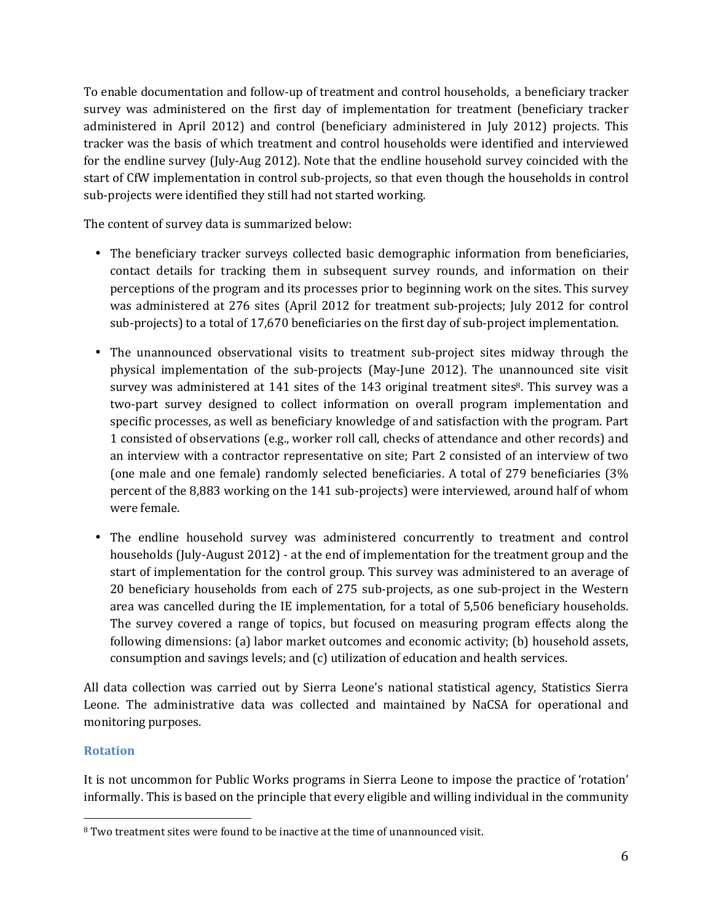To enable documentation and follow-up of treatment and control households, a beneficiary tracker survey was administered on the first day of implementation for treatment (beneficiary tracker administered in April 2012) and control (beneficiary administered in July 2012) projects. This tracker was the basis of which treatment and control households were identified and interviewed for the endline survey (July-Aug 2012). Note that the endline household survey coincided with the start of CfW implementation in control sub-projects, so that even though the households in control sub-projects were identified they still had not started working.

The content of survey data is summarized below:

- The beneficiary tracker surveys collected basic demographic information from beneficiaries, contact details for tracking them in subsequent survey rounds, and information on their perceptions of the program and its processes prior to beginning work on the sites. This survey was administered at 276 sites (April 2012 for treatment sub-projects; July 2012 for control sub-projects) to a total of 17,670 beneficiaries on the first day of sub-project implementation.
- The unannounced observational visits to treatment sub-project sites midway through the physical implementation of the sub-projects (May-June 2012). The unannounced site visit survey was administered at 141 sites of the 143 original treatment sites<sup>8</sup>. This survey was a two-part survey designed to collect information on overall program implementation and specific processes, as well as beneficiary knowledge of and satisfaction with the program. Part 1 consisted of observations (e.g., worker roll call, checks of attendance and other records) and an interview with a contractor representative on site; Part 2 consisted of an interview of two (one male and one female) randomly selected beneficiaries. A total of 279 beneficiaries (3% percent of the 8,883 working on the 141 sub-projects) were interviewed, around half of whom were female.
- The endline household survey was administered concurrently to treatment and control households (July-August 2012) - at the end of implementation for the treatment group and the start of implementation for the control group. This survey was administered to an average of 20 beneficiary households from each of 275 sub-projects, as one sub-project in the Western area was cancelled during the IE implementation, for a total of 5,506 beneficiary households. The survey covered a range of topics, but focused on measuring program effects along the following dimensions: (a) labor market outcomes and economic activity; (b) household assets, consumption and savings levels; and (c) utilization of education and health services.

All data collection was carried out by Sierra Leone's national statistical agency, Statistics Sierra Leone. The administrative data was collected and maintained by NaCSA for operational and monitoring purposes.

### **Rotation**

It is not uncommon for Public Works programs in Sierra Leone to impose the practice of 'rotation' informally. This is based on the principle that every eligible and willing individual in the community

<sup>&</sup>lt;u>.</u> <sup>8</sup> Two treatment sites were found to be inactive at the time of unannounced visit.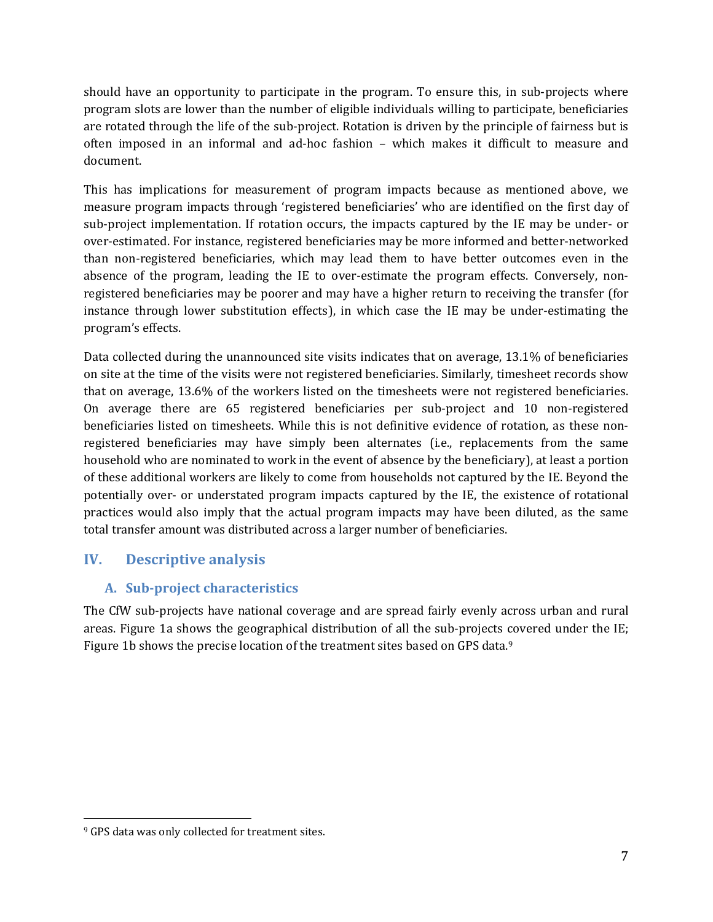should have an opportunity to participate in the program. To ensure this, in sub-projects where program slots are lower than the number of eligible individuals willing to participate, beneficiaries are rotated through the life of the sub-project. Rotation is driven by the principle of fairness but is often imposed in an informal and ad-hoc fashion – which makes it difficult to measure and document.

This has implications for measurement of program impacts because as mentioned above, we measure program impacts through 'registered beneficiaries' who are identified on the first day of sub-project implementation. If rotation occurs, the impacts captured by the IE may be under- or over-estimated. For instance, registered beneficiaries may be more informed and better-networked than non-registered beneficiaries, which may lead them to have better outcomes even in the absence of the program, leading the IE to over-estimate the program effects. Conversely, nonregistered beneficiaries may be poorer and may have a higher return to receiving the transfer (for instance through lower substitution effects), in which case the IE may be under-estimating the program's effects.

Data collected during the unannounced site visits indicates that on average, 13.1% of beneficiaries on site at the time of the visits were not registered beneficiaries. Similarly, timesheet records show that on average, 13.6% of the workers listed on the timesheets were not registered beneficiaries. On average there are 65 registered beneficiaries per sub-project and 10 non-registered beneficiaries listed on timesheets. While this is not definitive evidence of rotation, as these nonregistered beneficiaries may have simply been alternates (i.e., replacements from the same household who are nominated to work in the event of absence by the beneficiary), at least a portion of these additional workers are likely to come from households not captured by the IE. Beyond the potentially over- or understated program impacts captured by the IE, the existence of rotational practices would also imply that the actual program impacts may have been diluted, as the same total transfer amount was distributed across a larger number of beneficiaries.

# **IV. Descriptive analysis**

## **A. Sub-project characteristics**

The CfW sub-projects have national coverage and are spread fairly evenly across urban and rural areas. Figure 1a shows the geographical distribution of all the sub-projects covered under the IE; Figure 1b shows the precise location of the treatment sites based on GPS data.<sup>9</sup>

<u>.</u>

<sup>&</sup>lt;sup>9</sup> GPS data was only collected for treatment sites.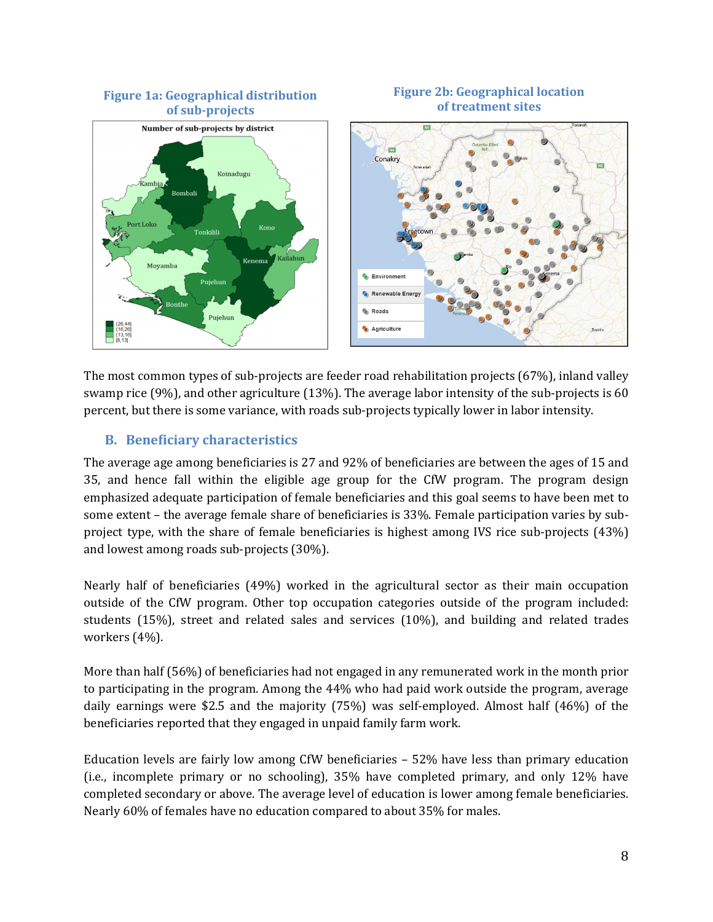

The most common types of sub-projects are feeder road rehabilitation projects (67%), inland valley swamp rice (9%), and other agriculture (13%). The average labor intensity of the sub-projects is 60 percent, but there is some variance, with roads sub-projects typically lower in labor intensity.

### **B. Beneficiary characteristics**

The average age among beneficiaries is 27 and 92% of beneficiaries are between the ages of 15 and 35, and hence fall within the eligible age group for the CfW program. The program design emphasized adequate participation of female beneficiaries and this goal seems to have been met to some extent – the average female share of beneficiaries is 33%. Female participation varies by subproject type, with the share of female beneficiaries is highest among IVS rice sub-projects (43%) and lowest among roads sub-projects (30%).

Nearly half of beneficiaries (49%) worked in the agricultural sector as their main occupation outside of the CfW program. Other top occupation categories outside of the program included: students (15%), street and related sales and services (10%), and building and related trades workers (4%).

More than half (56%) of beneficiaries had not engaged in any remunerated work in the month prior to participating in the program. Among the 44% who had paid work outside the program, average daily earnings were \$2.5 and the majority (75%) was self-employed. Almost half (46%) of the beneficiaries reported that they engaged in unpaid family farm work.

Education levels are fairly low among CfW beneficiaries – 52% have less than primary education (i.e., incomplete primary or no schooling), 35% have completed primary, and only 12% have completed secondary or above. The average level of education is lower among female beneficiaries. Nearly 60% of females have no education compared to about 35% for males.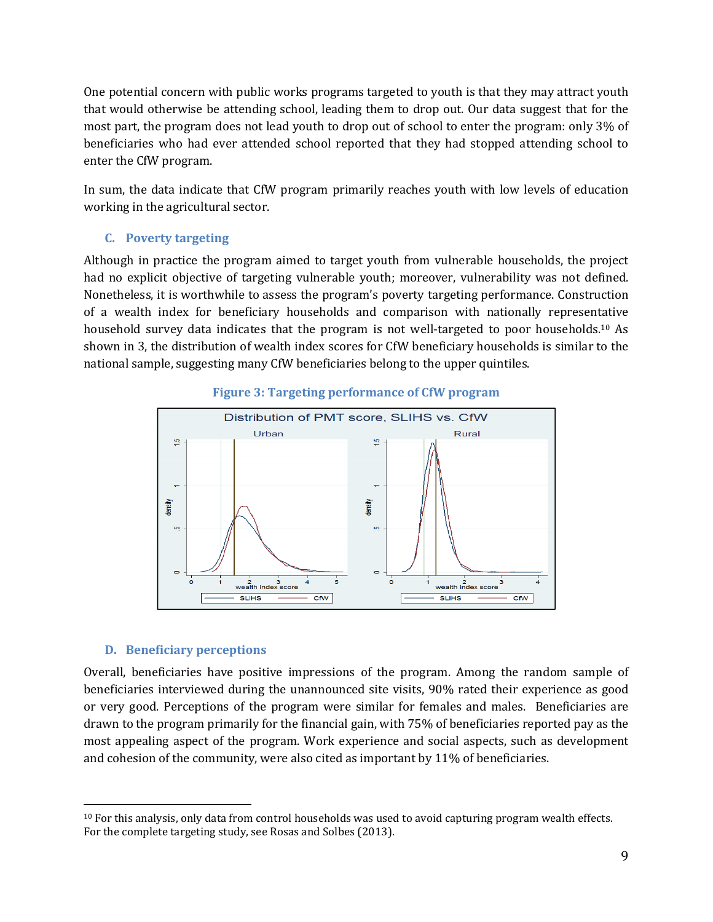One potential concern with public works programs targeted to youth is that they may attract youth that would otherwise be attending school, leading them to drop out. Our data suggest that for the most part, the program does not lead youth to drop out of school to enter the program: only 3% of beneficiaries who had ever attended school reported that they had stopped attending school to enter the CfW program.

In sum, the data indicate that CfW program primarily reaches youth with low levels of education working in the agricultural sector.

#### **C. Poverty targeting**

Although in practice the program aimed to target youth from vulnerable households, the project had no explicit objective of targeting vulnerable youth; moreover, vulnerability was not defined. Nonetheless, it is worthwhile to assess the program's poverty targeting performance. Construction of a wealth index for beneficiary households and comparison with nationally representative household survey data indicates that the program is not well-targeted to poor households.10 As shown in 3, the distribution of wealth index scores for CfW beneficiary households is similar to the national sample, suggesting many CfW beneficiaries belong to the upper quintiles.



#### **Figure 3: Targeting performance of CfW program**

#### **D. Beneficiary perceptions**

Overall, beneficiaries have positive impressions of the program. Among the random sample of beneficiaries interviewed during the unannounced site visits, 90% rated their experience as good or very good. Perceptions of the program were similar for females and males. Beneficiaries are drawn to the program primarily for the financial gain, with 75% of beneficiaries reported pay as the most appealing aspect of the program. Work experience and social aspects, such as development and cohesion of the community, were also cited as important by 11% of beneficiaries.

<sup>&</sup>lt;u>.</u>  $10$  For this analysis, only data from control households was used to avoid capturing program wealth effects. For the complete targeting study, see Rosas and Solbes (2013).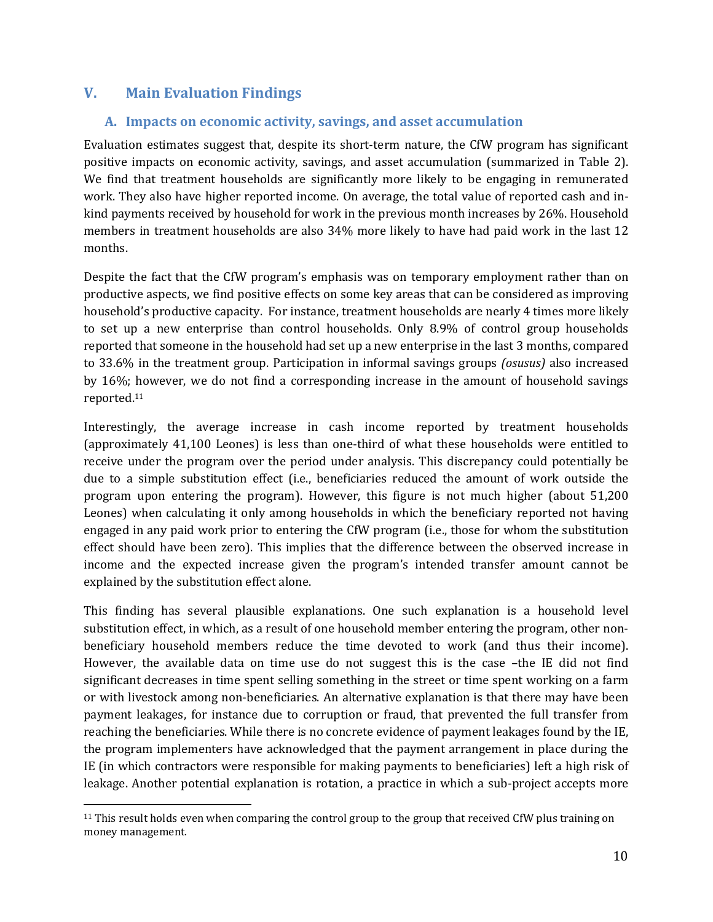## **V. Main Evaluation Findings**

#### **A. Impacts on economic activity, savings, and asset accumulation**

Evaluation estimates suggest that, despite its short-term nature, the CfW program has significant positive impacts on economic activity, savings, and asset accumulation (summarized in Table 2). We find that treatment households are significantly more likely to be engaging in remunerated work. They also have higher reported income. On average, the total value of reported cash and inkind payments received by household for work in the previous month increases by 26%. Household members in treatment households are also 34% more likely to have had paid work in the last 12 months.

Despite the fact that the CfW program's emphasis was on temporary employment rather than on productive aspects, we find positive effects on some key areas that can be considered as improving household's productive capacity. For instance, treatment households are nearly 4 times more likely to set up a new enterprise than control households. Only 8.9% of control group households reported that someone in the household had set up a new enterprise in the last 3 months, compared to 33.6% in the treatment group. Participation in informal savings groups *(osusus)* also increased by 16%; however, we do not find a corresponding increase in the amount of household savings reported.<sup>11</sup>

Interestingly, the average increase in cash income reported by treatment households (approximately 41,100 Leones) is less than one-third of what these households were entitled to receive under the program over the period under analysis. This discrepancy could potentially be due to a simple substitution effect (i.e., beneficiaries reduced the amount of work outside the program upon entering the program). However, this figure is not much higher (about 51,200 Leones) when calculating it only among households in which the beneficiary reported not having engaged in any paid work prior to entering the CfW program (i.e., those for whom the substitution effect should have been zero). This implies that the difference between the observed increase in income and the expected increase given the program's intended transfer amount cannot be explained by the substitution effect alone.

This finding has several plausible explanations. One such explanation is a household level substitution effect, in which, as a result of one household member entering the program, other nonbeneficiary household members reduce the time devoted to work (and thus their income). However, the available data on time use do not suggest this is the case –the IE did not find significant decreases in time spent selling something in the street or time spent working on a farm or with livestock among non-beneficiaries. An alternative explanation is that there may have been payment leakages, for instance due to corruption or fraud, that prevented the full transfer from reaching the beneficiaries. While there is no concrete evidence of payment leakages found by the IE, the program implementers have acknowledged that the payment arrangement in place during the IE (in which contractors were responsible for making payments to beneficiaries) left a high risk of leakage. Another potential explanation is rotation, a practice in which a sub-project accepts more

<sup>&</sup>lt;u>.</u> <sup>11</sup> This result holds even when comparing the control group to the group that received CfW plus training on money management.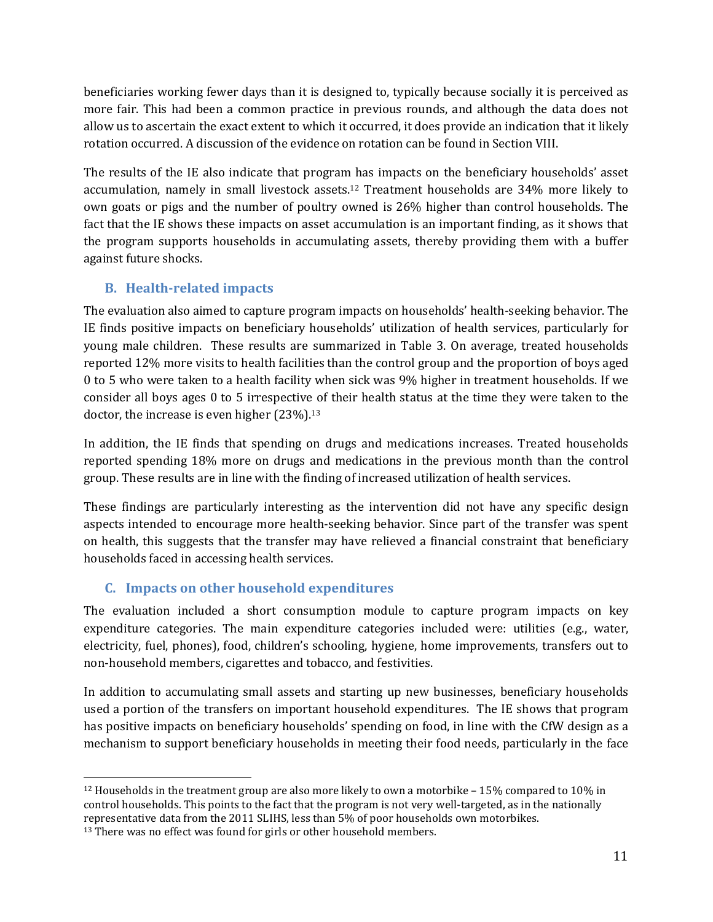beneficiaries working fewer days than it is designed to, typically because socially it is perceived as more fair. This had been a common practice in previous rounds, and although the data does not allow us to ascertain the exact extent to which it occurred, it does provide an indication that it likely rotation occurred. A discussion of the evidence on rotation can be found in Section VIII.

The results of the IE also indicate that program has impacts on the beneficiary households' asset accumulation, namely in small livestock assets.12 Treatment households are 34% more likely to own goats or pigs and the number of poultry owned is 26% higher than control households. The fact that the IE shows these impacts on asset accumulation is an important finding, as it shows that the program supports households in accumulating assets, thereby providing them with a buffer against future shocks.

# **B. Health-related impacts**

The evaluation also aimed to capture program impacts on households' health-seeking behavior. The IE finds positive impacts on beneficiary households' utilization of health services, particularly for young male children. These results are summarized in Table 3. On average, treated households reported 12% more visits to health facilities than the control group and the proportion of boys aged 0 to 5 who were taken to a health facility when sick was 9% higher in treatment households. If we consider all boys ages 0 to 5 irrespective of their health status at the time they were taken to the doctor, the increase is even higher (23%).<sup>13</sup>

In addition, the IE finds that spending on drugs and medications increases. Treated households reported spending 18% more on drugs and medications in the previous month than the control group. These results are in line with the finding of increased utilization of health services.

These findings are particularly interesting as the intervention did not have any specific design aspects intended to encourage more health-seeking behavior. Since part of the transfer was spent on health, this suggests that the transfer may have relieved a financial constraint that beneficiary households faced in accessing health services.

# **C. Impacts on other household expenditures**

The evaluation included a short consumption module to capture program impacts on key expenditure categories. The main expenditure categories included were: utilities (e.g., water, electricity, fuel, phones), food, children's schooling, hygiene, home improvements, transfers out to non-household members, cigarettes and tobacco, and festivities.

In addition to accumulating small assets and starting up new businesses, beneficiary households used a portion of the transfers on important household expenditures. The IE shows that program has positive impacts on beneficiary households' spending on food, in line with the CfW design as a mechanism to support beneficiary households in meeting their food needs, particularly in the face

<sup>&</sup>lt;u>.</u> <sup>12</sup> Households in the treatment group are also more likely to own a motorbike  $-15\%$  compared to 10% in control households. This points to the fact that the program is not very well-targeted, as in the nationally representative data from the 2011 SLIHS, less than 5% of poor households own motorbikes.

<sup>&</sup>lt;sup>13</sup> There was no effect was found for girls or other household members.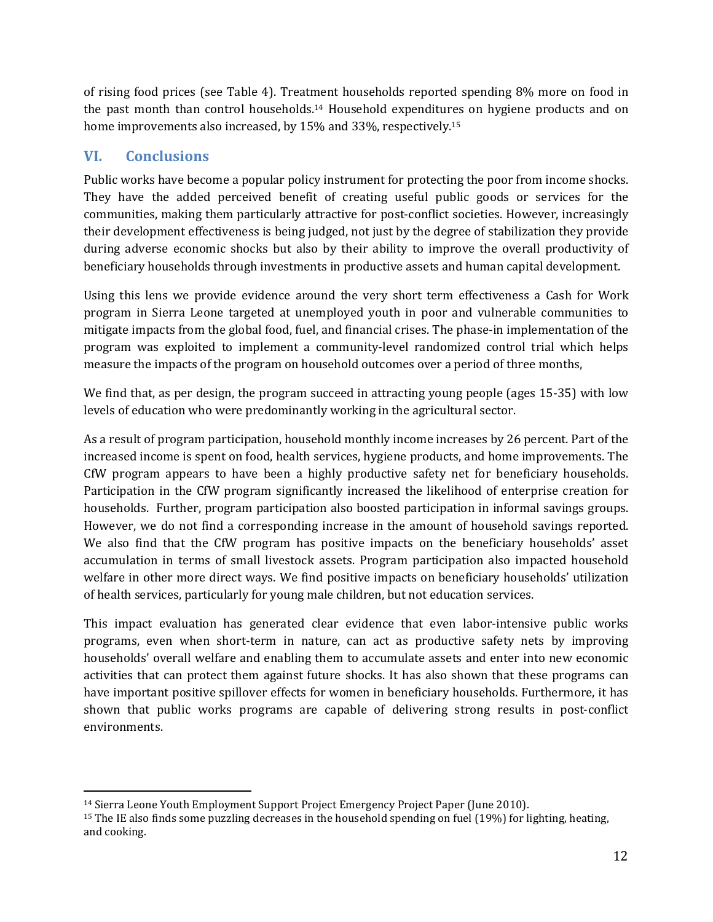of rising food prices (see Table 4). Treatment households reported spending 8% more on food in the past month than control households.14 Household expenditures on hygiene products and on home improvements also increased, by 15% and 33%, respectively.<sup>15</sup>

# **VI. Conclusions**

Public works have become a popular policy instrument for protecting the poor from income shocks. They have the added perceived benefit of creating useful public goods or services for the communities, making them particularly attractive for post-conflict societies. However, increasingly their development effectiveness is being judged, not just by the degree of stabilization they provide during adverse economic shocks but also by their ability to improve the overall productivity of beneficiary households through investments in productive assets and human capital development.

Using this lens we provide evidence around the very short term effectiveness a Cash for Work program in Sierra Leone targeted at unemployed youth in poor and vulnerable communities to mitigate impacts from the global food, fuel, and financial crises. The phase-in implementation of the program was exploited to implement a community-level randomized control trial which helps measure the impacts of the program on household outcomes over a period of three months,

We find that, as per design, the program succeed in attracting young people (ages 15-35) with low levels of education who were predominantly working in the agricultural sector.

As a result of program participation, household monthly income increases by 26 percent. Part of the increased income is spent on food, health services, hygiene products, and home improvements. The CfW program appears to have been a highly productive safety net for beneficiary households. Participation in the CfW program significantly increased the likelihood of enterprise creation for households. Further, program participation also boosted participation in informal savings groups. However, we do not find a corresponding increase in the amount of household savings reported. We also find that the CfW program has positive impacts on the beneficiary households' asset accumulation in terms of small livestock assets. Program participation also impacted household welfare in other more direct ways. We find positive impacts on beneficiary households' utilization of health services, particularly for young male children, but not education services.

This impact evaluation has generated clear evidence that even labor-intensive public works programs, even when short-term in nature, can act as productive safety nets by improving households' overall welfare and enabling them to accumulate assets and enter into new economic activities that can protect them against future shocks. It has also shown that these programs can have important positive spillover effects for women in beneficiary households. Furthermore, it has shown that public works programs are capable of delivering strong results in post-conflict environments.

<sup>&</sup>lt;u>.</u> <sup>14</sup> Sierra Leone Youth Employment Support Project Emergency Project Paper (June 2010).

<sup>15</sup> The IE also finds some puzzling decreases in the household spending on fuel (19%) for lighting, heating, and cooking.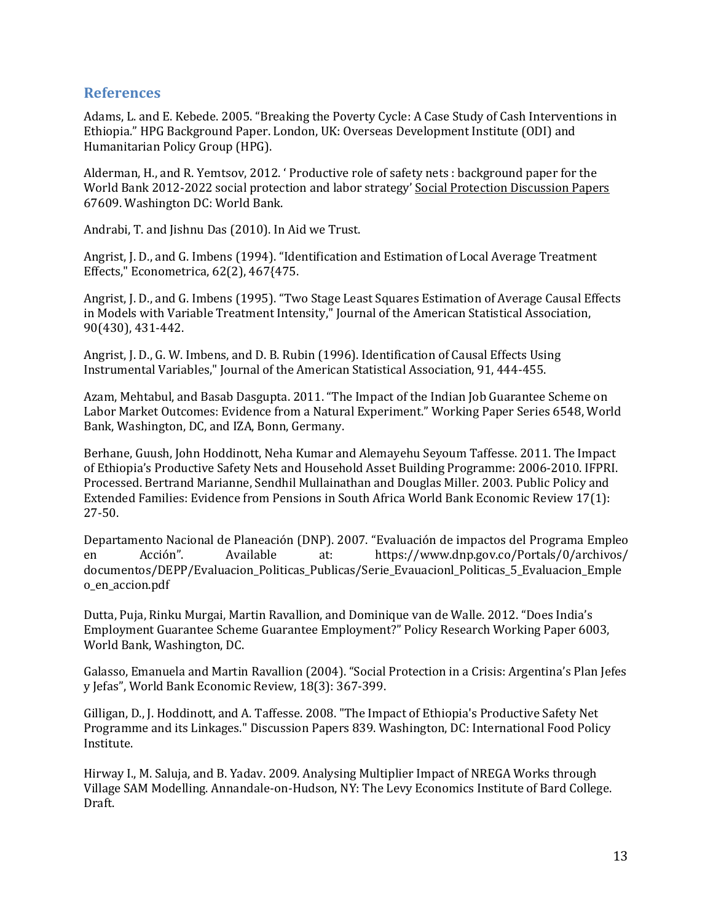#### **References**

Adams, L. and E. Kebede. 2005. "Breaking the Poverty Cycle: A Case Study of Cash Interventions in Ethiopia." HPG Background Paper. London, UK: Overseas Development Institute (ODI) and Humanitarian Policy Group (HPG).

Alderman, H., and R. Yemtsov, 2012. ' Productive role of safety nets : background paper for the World Bank 2012-2022 social protection and labor strategy' Social Protection Discussion Papers 67609. Washington DC: World Bank.

Andrabi, T. and Jishnu Das (2010). In Aid we Trust.

Angrist, J. D., and G. Imbens (1994). "Identification and Estimation of Local Average Treatment Effects," Econometrica, 62(2), 467{475.

Angrist, J. D., and G. Imbens (1995). "Two Stage Least Squares Estimation of Average Causal Effects in Models with Variable Treatment Intensity," Journal of the American Statistical Association, 90(430), 431-442.

Angrist, J. D., G. W. Imbens, and D. B. Rubin (1996). Identification of Causal Effects Using Instrumental Variables," Journal of the American Statistical Association, 91, 444-455.

Azam, Mehtabul, and Basab Dasgupta. 2011. "The Impact of the Indian Job Guarantee Scheme on Labor Market Outcomes: Evidence from a Natural Experiment." Working Paper Series 6548, World Bank, Washington, DC, and IZA, Bonn, Germany.

Berhane, Guush, John Hoddinott, Neha Kumar and Alemayehu Seyoum Taffesse. 2011. The Impact of Ethiopia's Productive Safety Nets and Household Asset Building Programme: 2006-2010. IFPRI. Processed. Bertrand Marianne, Sendhil Mullainathan and Douglas Miller. 2003. Public Policy and Extended Families: Evidence from Pensions in South Africa World Bank Economic Review 17(1): 27-50.

Departamento Nacional de Planeación (DNP). 2007. "Evaluación de impactos del Programa Empleo en Acción". Available at: https://www.dnp.gov.co/Portals/0/archivos/ documentos/DEPP/Evaluacion\_Politicas\_Publicas/Serie\_Evauacionl\_Politicas\_5\_Evaluacion\_Emple o\_en\_accion.pdf

Dutta, Puja, Rinku Murgai, Martin Ravallion, and Dominique van de Walle. 2012. "Does India's Employment Guarantee Scheme Guarantee Employment?" Policy Research Working Paper 6003, World Bank, Washington, DC.

Galasso, Emanuela and Martin Ravallion (2004). "Social Protection in a Crisis: Argentina's Plan Jefes y Jefas", World Bank Economic Review, 18(3): 367-399.

Gilligan, D., J. Hoddinott, and A. Taffesse. 2008. "The Impact of Ethiopia's Productive Safety Net Programme and its Linkages." Discussion Papers 839. Washington, DC: International Food Policy Institute.

Hirway I., M. Saluja, and B. Yadav. 2009. Analysing Multiplier Impact of NREGA Works through Village SAM Modelling. Annandale-on-Hudson, NY: The Levy Economics Institute of Bard College. Draft.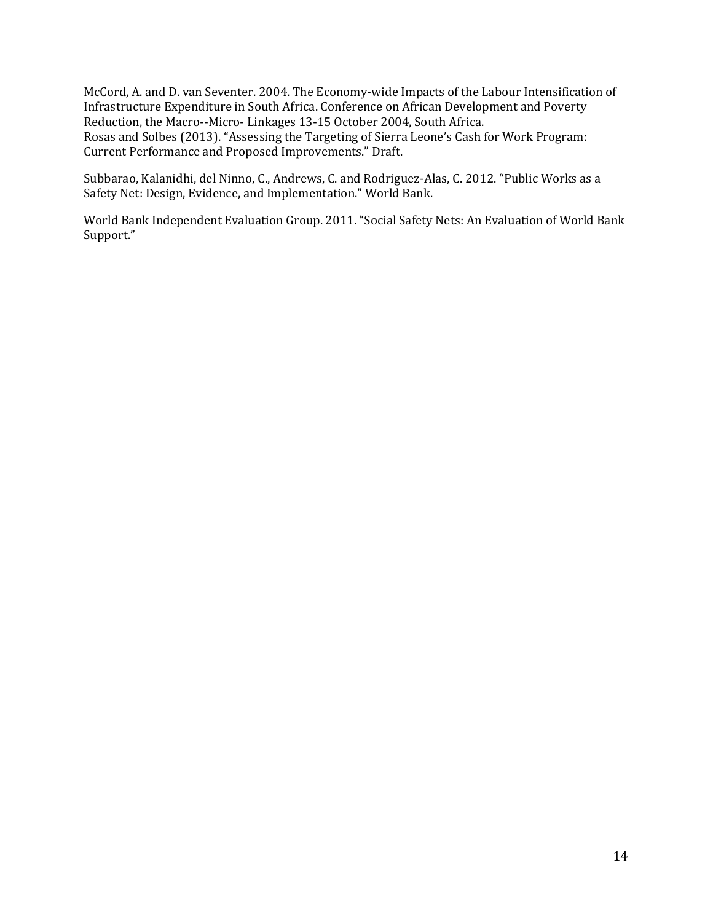McCord, A. and D. van Seventer. 2004. The Economy-wide Impacts of the Labour Intensification of Infrastructure Expenditure in South Africa. Conference on African Development and Poverty Reduction, the Macro--Micro- Linkages 13-15 October 2004, South Africa. Rosas and Solbes (2013). "Assessing the Targeting of Sierra Leone's Cash for Work Program: Current Performance and Proposed Improvements." Draft.

Subbarao, Kalanidhi, del Ninno, C., Andrews, C. and Rodriguez-Alas, C. 2012. "Public Works as a Safety Net: Design, Evidence, and Implementation." World Bank.

World Bank Independent Evaluation Group. 2011. "Social Safety Nets: An Evaluation of World Bank Support."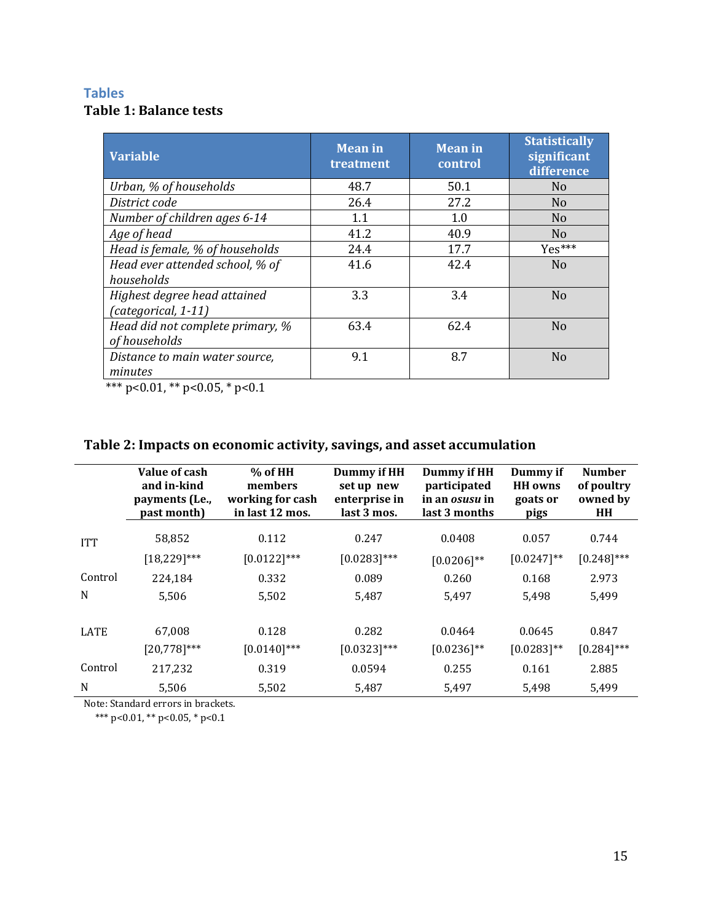## **Tables Table 1: Balance tests**

| <b>Variable</b>                                     | <b>Mean in</b><br>treatment | <b>Mean</b> in<br>control | <b>Statistically</b><br>significant<br>difference |
|-----------------------------------------------------|-----------------------------|---------------------------|---------------------------------------------------|
| Urban, % of households                              | 48.7                        | 50.1                      | N <sub>0</sub>                                    |
| District code                                       | 26.4                        | 27.2                      | N <sub>o</sub>                                    |
| Number of children ages 6-14                        | 1.1                         | 1.0                       | N <sub>o</sub>                                    |
| Age of head                                         | 41.2                        | 40.9                      | N <sub>0</sub>                                    |
| Head is female, % of households                     | 24.4                        | 17.7                      | Yes***                                            |
| Head ever attended school, % of<br>households       | 41.6                        | 42.4                      | N <sub>o</sub>                                    |
| Highest degree head attained<br>(categorical, 1-11) | 3.3                         | 3.4                       | N <sub>o</sub>                                    |
| Head did not complete primary, %<br>of households   | 63.4                        | 62.4                      | N <sub>o</sub>                                    |
| Distance to main water source,<br>minutes           | 9.1                         | 8.7                       | N <sub>o</sub>                                    |

\*\*\* p<0.01, \*\* p<0.05, \* p<0.1

# **Table 2: Impacts on economic activity, savings, and asset accumulation**

|            | Value of cash<br>and in-kind<br>payments (Le.,<br>past month) | $%$ of HH<br>members<br>working for cash<br>in last 12 mos. | Dummy if HH<br>set up new<br>enterprise in<br>last 3 mos. | Dummy if HH<br>participated<br>in an osusu in<br>last 3 months | Dummy if<br><b>HH</b> owns<br>goats or<br>pigs | <b>Number</b><br>of poultry<br>owned by<br><b>HH</b> |
|------------|---------------------------------------------------------------|-------------------------------------------------------------|-----------------------------------------------------------|----------------------------------------------------------------|------------------------------------------------|------------------------------------------------------|
| <b>ITT</b> | 58,852                                                        | 0.112                                                       | 0.247                                                     | 0.0408                                                         | 0.057                                          | 0.744                                                |
|            | $[18, 229]$ ***                                               | $[0.0122]^{***}$                                            | $[0.0283]$ ***                                            | $[0.0206]^{**}$                                                | $[0.0247]^{**}$                                | $[0.248]$ ***                                        |
| Control    | 224,184                                                       | 0.332                                                       | 0.089                                                     | 0.260                                                          | 0.168                                          | 2.973                                                |
| N          | 5.506                                                         | 5,502                                                       | 5,487                                                     | 5,497                                                          | 5,498                                          | 5,499                                                |
|            |                                                               |                                                             |                                                           |                                                                |                                                |                                                      |
| LATE       | 67,008                                                        | 0.128                                                       | 0.282                                                     | 0.0464                                                         | 0.0645                                         | 0.847                                                |
|            | $[20,778]^{***}$                                              | $[0.0140]$ ***                                              | $[0.0323]$ ***                                            | $[0.0236]^{**}$                                                | $[0.0283]^{**}$                                | $[0.284]$ ***                                        |
| Control    | 217,232                                                       | 0.319                                                       | 0.0594                                                    | 0.255                                                          | 0.161                                          | 2.885                                                |
| N          | 5,506                                                         | 5,502                                                       | 5,487                                                     | 5,497                                                          | 5,498                                          | 5,499                                                |

Note: Standard errors in brackets.

\*\*\* p<0.01, \*\* p<0.05, \* p<0.1